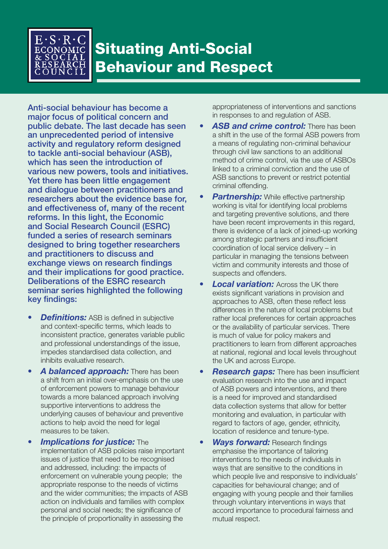

# Situating Anti-Social Behaviour and Respect

Anti-social behaviour has become a major focus of political concern and public debate. The last decade has seen an unprecedented period of intensive activity and regulatory reform designed to tackle anti-social behaviour (ASB), which has seen the introduction of various new powers, tools and initiatives. Yet there has been little engagement and dialogue between practitioners and researchers about the evidence base for, and effectiveness of, many of the recent reforms. In this light, the Economic and Social Research Council (ESRC) funded a series of research seminars designed to bring together researchers and practitioners to discuss and exchange views on research findings and their implications for good practice. Deliberations of the ESRC research seminar series highlighted the following key findings:

- *Definitions:* ASB is defined in subjective and context-specific terms, which leads to inconsistent practice, generates variable public and professional understandings of the issue, impedes standardised data collection, and inhibits evaluative research.
- *A balanced approach:* There has been a shift from an initial over-emphasis on the use of enforcement powers to manage behaviour towards a more balanced approach involving supportive interventions to address the underlying causes of behaviour and preventive actions to help avoid the need for legal measures to be taken.
- *Implications for justice:* The implementation of ASB policies raise important issues of justice that need to be recognised and addressed, including: the impacts of enforcement on vulnerable young people; the appropriate response to the needs of victims and the wider communities; the impacts of ASB action on individuals and families with complex personal and social needs; the significance of the principle of proportionality in assessing the

appropriateness of interventions and sanctions in responses to and regulation of ASB.

- **ASB and crime control:** There has been a shift in the use of the formal ASB powers from a means of regulating non-criminal behaviour through civil law sanctions to an additional method of crime control, via the use of ASBOs linked to a criminal conviction and the use of ASB sanctions to prevent or restrict potential criminal offending.
- **Partnership:** While effective partnership working is vital for identifying local problems and targeting preventive solutions, and there have been recent improvements in this regard, there is evidence of a lack of joined-up working among strategic partners and insufficient coordination of local service delivery – in particular in managing the tensions between victim and community interests and those of suspects and offenders.
- **Local variation:** Across the UK there exists significant variations in provision and approaches to ASB, often these reflect less differences in the nature of local problems but rather local preferences for certain approaches or the availability of particular services. There is much of value for policy makers and practitioners to learn from different approaches at national, regional and local levels throughout the UK and across Europe.
- **Research gaps:** There has been insufficient evaluation research into the use and impact of ASB powers and interventions, and there is a need for improved and standardised data collection systems that allow for better monitoring and evaluation, in particular with regard to factors of age, gender, ethnicity, location of residence and tenure-type.
- *Ways forward:* Research findings emphasise the importance of tailoring interventions to the needs of individuals in ways that are sensitive to the conditions in which people live and responsive to individuals' capacities for behavioural change; and of engaging with young people and their families through voluntary interventions in ways that accord importance to procedural fairness and mutual respect.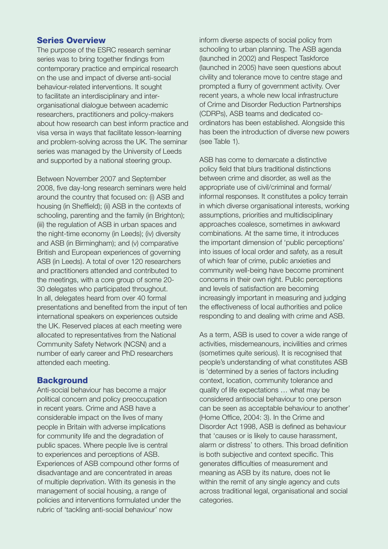### Series Overview

The purpose of the ESRC research seminar series was to bring together findings from contemporary practice and empirical research on the use and impact of diverse anti-social behaviour-related interventions. It sought to facilitate an interdisciplinary and interorganisational dialogue between academic researchers, practitioners and policy-makers about how research can best inform practice and visa versa in ways that facilitate lesson-learning and problem-solving across the UK. The seminar series was managed by the University of Leeds and supported by a national steering group.

Between November 2007 and September 2008, five day-long research seminars were held around the country that focused on: (i) ASB and housing (in Sheffield); (ii) ASB in the contexts of schooling, parenting and the family (in Brighton); (iii) the regulation of ASB in urban spaces and the night-time economy (in Leeds); (iv) diversity and ASB (in Birmingham); and (v) comparative British and European experiences of governing ASB (in Leeds). A total of over 120 researchers and practitioners attended and contributed to the meetings, with a core group of some 20- 30 delegates who participated throughout. In all, delegates heard from over 40 formal presentations and benefited from the input of ten international speakers on experiences outside the UK. Reserved places at each meeting were allocated to representatives from the National Community Safety Network (NCSN) and a number of early career and PhD researchers attended each meeting.

#### Background

Anti-social behaviour has become a major political concern and policy preoccupation in recent years. Crime and ASB have a considerable impact on the lives of many people in Britain with adverse implications for community life and the degradation of public spaces. Where people live is central to experiences and perceptions of ASB. Experiences of ASB compound other forms of disadvantage and are concentrated in areas of multiple deprivation. With its genesis in the management of social housing, a range of policies and interventions formulated under the rubric of 'tackling anti-social behaviour' now

inform diverse aspects of social policy from schooling to urban planning. The ASB agenda (launched in 2002) and Respect Taskforce (launched in 2005) have seen questions about civility and tolerance move to centre stage and prompted a flurry of government activity. Over recent years, a whole new local infrastructure of Crime and Disorder Reduction Partnerships (CDRPs), ASB teams and dedicated coordinators has been established. Alongside this has been the introduction of diverse new powers (see Table 1).

ASB has come to demarcate a distinctive policy field that blurs traditional distinctions between crime and disorder, as well as the appropriate use of civil/criminal and formal/ informal responses. It constitutes a policy terrain in which diverse organisational interests, working assumptions, priorities and multidisciplinary approaches coalesce, sometimes in awkward combinations. At the same time, it introduces the important dimension of 'public perceptions' into issues of local order and safety, as a result of which fear of crime, public anxieties and community well-being have become prominent concerns in their own right. Public perceptions and levels of satisfaction are becoming increasingly important in measuring and judging the effectiveness of local authorities and police responding to and dealing with crime and ASB.

As a term, ASB is used to cover a wide range of activities, misdemeanours, incivilities and crimes (sometimes quite serious). It is recognised that people's understanding of what constitutes ASB is 'determined by a series of factors including context, location, community tolerance and quality of life expectations … what may be considered antisocial behaviour to one person can be seen as acceptable behaviour to another' (Home Office, 2004: 3). In the Crime and Disorder Act 1998, ASB is defined as behaviour that 'causes or is likely to cause harassment, alarm or distress' to others. This broad definition is both subjective and context specific. This generates difficulties of measurement and meaning as ASB by its nature, does not lie within the remit of any single agency and cuts across traditional legal, organisational and social categories.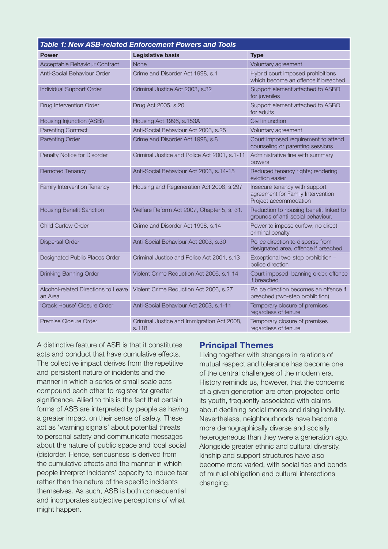| <b>Table 1: New ASB-related Enforcement Powers and Tools</b> |                                                     |                                                                                             |
|--------------------------------------------------------------|-----------------------------------------------------|---------------------------------------------------------------------------------------------|
| <b>Power</b>                                                 | <b>Legislative basis</b>                            | <b>Type</b>                                                                                 |
| Acceptable Behaviour Contract                                | None                                                | Voluntary agreement                                                                         |
| Anti-Social Behaviour Order                                  | Crime and Disorder Act 1998, s.1                    | Hybrid court imposed prohibitions<br>which become an offence if breached                    |
| Individual Support Order                                     | Criminal Justice Act 2003, s.32                     | Support element attached to ASBO<br>for juveniles                                           |
| Drug Intervention Order                                      | Drug Act 2005, s.20                                 | Support element attached to ASBO<br>for adults                                              |
| Housing Injunction (ASBI)                                    | Housing Act 1996, s.153A                            | Civil injunction                                                                            |
| <b>Parenting Contract</b>                                    | Anti-Social Behaviour Act 2003, s.25                | Voluntary agreement                                                                         |
| <b>Parenting Order</b>                                       | Crime and Disorder Act 1998, s.8                    | Court imposed requirement to attend<br>counseling or parenting sessions                     |
| Penalty Notice for Disorder                                  | Criminal Justice and Police Act 2001, s.1-11        | Administrative fine with summary<br>powers                                                  |
| <b>Demoted Tenancy</b>                                       | Anti-Social Behaviour Act 2003, s.14-15             | Reduced tenancy rights; rendering<br>eviction easier                                        |
| Family Intervention Tenancy                                  | Housing and Regeneration Act 2008, s.297            | Insecure tenancy with support<br>agreement for Family Intervention<br>Project accommodation |
| <b>Housing Benefit Sanction</b>                              | Welfare Reform Act 2007, Chapter 5, s. 31.          | Reduction to housing benefit linked to<br>grounds of anti-social behaviour.                 |
| <b>Child Curfew Order</b>                                    | Crime and Disorder Act 1998, s.14                   | Power to impose curfew; no direct<br>criminal penalty                                       |
| <b>Dispersal Order</b>                                       | Anti-Social Behaviour Act 2003, s.30                | Police direction to disperse from<br>designated area, offence if breached                   |
| Designated Public Places Order                               | Criminal Justice and Police Act 2001, s.13          | Exceptional two-step prohibition -<br>police direction                                      |
| Drinking Banning Order                                       | Violent Crime Reduction Act 2006, s.1-14            | Court imposed banning order, offence<br>if breached                                         |
| Alcohol-related Directions to Leave<br>an Area               | Violent Crime Reduction Act 2006, s.27              | Police direction becomes an offence if<br>breached (two-step prohibition)                   |
| 'Crack House' Closure Order                                  | Anti-Social Behaviour Act 2003, s.1-11              | Temporary closure of premises<br>regardless of tenure                                       |
| Premise Closure Order                                        | Criminal Justice and Immigration Act 2008,<br>s.118 | Temporary closure of premises<br>regardless of tenure                                       |

A distinctive feature of ASB is that it constitutes acts and conduct that have cumulative effects. The collective impact derives from the repetitive and persistent nature of incidents and the manner in which a series of small scale acts compound each other to register far greater significance. Allied to this is the fact that certain forms of ASB are interpreted by people as having a greater impact on their sense of safety. These act as 'warning signals' about potential threats to personal safety and communicate messages about the nature of public space and local social (dis)order. Hence, seriousness is derived from the cumulative effects and the manner in which people interpret incidents' capacity to induce fear rather than the nature of the specific incidents themselves. As such, ASB is both consequential and incorporates subjective perceptions of what might happen.

#### Principal Themes

Living together with strangers in relations of mutual respect and tolerance has become one of the central challenges of the modern era. History reminds us, however, that the concerns of a given generation are often projected onto its youth, frequently associated with claims about declining social mores and rising incivility. Nevertheless, neighbourhoods have become more demographically diverse and socially heterogeneous than they were a generation ago. Alongside greater ethnic and cultural diversity, kinship and support structures have also become more varied, with social ties and bonds of mutual obligation and cultural interactions changing.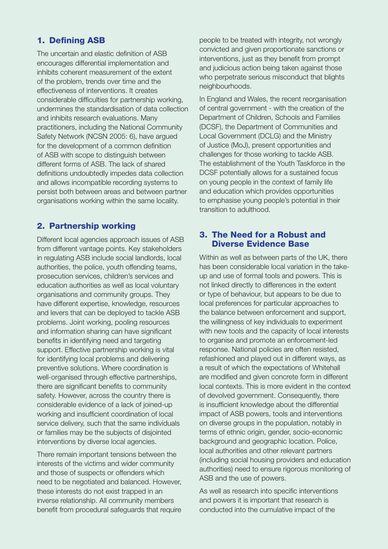# 1. Defining ASB

The uncertain and elastic definition of ASB encourages differential implementation and inhibits coherent measurement of the extent of the problem, trends over time and the effectiveness of interventions. It creates considerable difficulties for partnership working, undermines the standardisation of data collection and inhibits research evaluations. Many practitioners, including the National Community Safety Network (NCSN 2005: 6), have argued for the development of a common definition of ASB with scope to distinguish between different forms of ASB. The lack of shared definitions undoubtedly impedes data collection and allows incompatible recording systems to persist both between areas and between partner organisations working within the same locality.

# 2. Partnership working

Different local agencies approach issues of ASB from different vantage points. Key stakeholders in regulating ASB include social landlords, local authorities, the police, youth offending teams, prosecution services, children's services and education authorities as well as local voluntary organisations and community groups. They have different expertise, knowledge, resources and levers that can be deployed to tackle ASB problems. Joint working, pooling resources and information sharing can have significant benefits in identifying need and targeting support. Effective partnership working is vital for identifying local problems and delivering preventive solutions. Where coordination is well-organised through effective partnerships, there are significant benefits to community safety. However, across the country there is considerable evidence of a lack of joined-up working and insufficient coordination of local service delivery, such that the same individuals or families may be the subjects of disjointed interventions by diverse local agencies.

There remain important tensions between the interests of the victims and wider community and those of suspects or offenders which need to be negotiated and balanced. However, these interests do not exist trapped in an inverse relationship. All community members benefit from procedural safeguards that require

people to be treated with integrity, not wrongly convicted and given proportionate sanctions or interventions, just as they benefit from prompt and judicious action being taken against those who perpetrate serious misconduct that blights neighbourhoods.

In England and Wales, the recent reorganisation of central government - with the creation of the Department of Children, Schools and Families (DCSF), the Department of Communities and Local Government (DCLG) and the Ministry of Justice (MoJ), present opportunities and challenges for those working to tackle ASB. The establishment of the Youth Taskforce in the DCSF potentially allows for a sustained focus on young people in the context of family life and education which provides opportunities to emphasise young people's potential in their transition to adulthood.

## 3. The Need for a Robust and Diverse Evidence Base

Within as well as between parts of the UK, there has been considerable local variation in the takeup and use of formal tools and powers. This is not linked directly to differences in the extent or type of behaviour, but appears to be due to local preferences for particular approaches to the balance between enforcement and support, the willingness of key individuals to experiment with new tools and the capacity of local interests to organise and promote an enforcement-led response. National policies are often resisted, refashioned and played out in different ways, as a result of which the expectations of Whitehall are modified and given concrete form in different local contexts. This is more evident in the context of devolved government. Consequently, there is insufficient knowledge about the differential impact of ASB powers, tools and interventions on diverse groups in the population, notably in terms of ethnic origin, gender, socio-economic background and geographic location. Police, local authorities and other relevant partners (including social housing providers and education authorities) need to ensure rigorous monitoring of ASB and the use of powers.

As well as research into specific interventions and powers it is important that research is conducted into the cumulative impact of the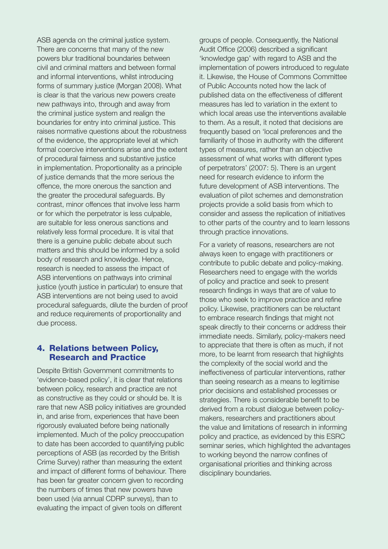ASB agenda on the criminal justice system. There are concerns that many of the new powers blur traditional boundaries between civil and criminal matters and between formal and informal interventions, whilst introducing forms of summary justice (Morgan 2008). What is clear is that the various new powers create new pathways into, through and away from the criminal justice system and realign the boundaries for entry into criminal justice. This raises normative questions about the robustness of the evidence, the appropriate level at which formal coercive interventions arise and the extent of procedural fairness and substantive justice in implementation. Proportionality as a principle of justice demands that the more serious the offence, the more onerous the sanction and the greater the procedural safeguards. By contrast, minor offences that involve less harm or for which the perpetrator is less culpable, are suitable for less onerous sanctions and relatively less formal procedure. It is vital that there is a genuine public debate about such matters and this should be informed by a solid body of research and knowledge. Hence, research is needed to assess the impact of ASB interventions on pathways into criminal justice (youth justice in particular) to ensure that ASB interventions are not being used to avoid procedural safeguards, dilute the burden of proof and reduce requirements of proportionality and due process.

#### 4. Relations between Policy, Research and Practice

Despite British Government commitments to 'evidence-based policy', it is clear that relations between policy, research and practice are not as constructive as they could or should be. It is rare that new ASB policy initiatives are grounded in, and arise from, experiences that have been rigorously evaluated before being nationally implemented. Much of the policy preoccupation to date has been accorded to quantifying public perceptions of ASB (as recorded by the British Crime Survey) rather than measuring the extent and impact of different forms of behaviour. There has been far greater concern given to recording the numbers of times that new powers have been used (via annual CDRP surveys), than to evaluating the impact of given tools on different

groups of people. Consequently, the National Audit Office (2006) described a significant 'knowledge gap' with regard to ASB and the implementation of powers introduced to regulate it. Likewise, the House of Commons Committee of Public Accounts noted how the lack of published data on the effectiveness of different measures has led to variation in the extent to which local areas use the interventions available to them. As a result, it noted that decisions are frequently based on 'local preferences and the familiarity of those in authority with the different types of measures, rather than an objective assessment of what works with different types of perpetrators' (2007: 5). There is an urgent need for research evidence to inform the future development of ASB interventions. The evaluation of pilot schemes and demonstration projects provide a solid basis from which to consider and assess the replication of initiatives to other parts of the country and to learn lessons through practice innovations.

For a variety of reasons, researchers are not always keen to engage with practitioners or contribute to public debate and policy-making. Researchers need to engage with the worlds of policy and practice and seek to present research findings in ways that are of value to those who seek to improve practice and refine policy. Likewise, practitioners can be reluctant to embrace research findings that might not speak directly to their concerns or address their immediate needs. Similarly, policy-makers need to appreciate that there is often as much, if not more, to be learnt from research that highlights the complexity of the social world and the ineffectiveness of particular interventions, rather than seeing research as a means to legitimise prior decisions and established processes or strategies. There is considerable benefit to be derived from a robust dialogue between policymakers, researchers and practitioners about the value and limitations of research in informing policy and practice, as evidenced by this ESRC seminar series, which highlighted the advantages to working beyond the narrow confines of organisational priorities and thinking across disciplinary boundaries.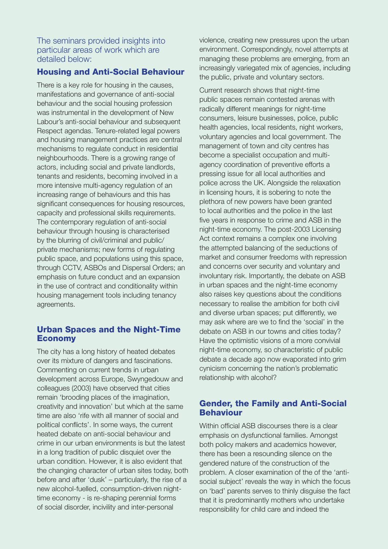The seminars provided insights into particular areas of work which are detailed below:

# Housing and Anti-Social Behaviour

There is a key role for housing in the causes, manifestations and governance of anti-social behaviour and the social housing profession was instrumental in the development of New Labour's anti-social behaviour and subsequent Respect agendas. Tenure-related legal powers and housing management practices are central mechanisms to regulate conduct in residential neighbourhoods. There is a growing range of actors, including social and private landlords, tenants and residents, becoming involved in a more intensive multi-agency regulation of an increasing range of behaviours and this has significant consequences for housing resources, capacity and professional skills requirements. The contemporary regulation of anti-social behaviour through housing is characterised by the blurring of civil/criminal and public/ private mechanisms; new forms of regulating public space, and populations using this space, through CCTV, ASBOs and Dispersal Orders; an emphasis on future conduct and an expansion in the use of contract and conditionality within housing management tools including tenancy agreements.

## Urban Spaces and the Night-Time Economy

The city has a long history of heated debates over its mixture of dangers and fascinations. Commenting on current trends in urban development across Europe, Swyngedouw and colleagues (2003) have observed that cities remain 'brooding places of the imagination, creativity and innovation' but which at the same time are also 'rife with all manner of social and political conflicts'. In some ways, the current heated debate on anti-social behaviour and crime in our urban environments is but the latest in a long tradition of public disquiet over the urban condition. However, it is also evident that the changing character of urban sites today, both before and after 'dusk' – particularly, the rise of a new alcohol-fuelled, consumption-driven nighttime economy - is re-shaping perennial forms of social disorder, incivility and inter-personal

violence, creating new pressures upon the urban environment. Correspondingly, novel attempts at managing these problems are emerging, from an increasingly variegated mix of agencies, including the public, private and voluntary sectors.

Current research shows that night-time public spaces remain contested arenas with radically different meanings for night-time consumers, leisure businesses, police, public health agencies, local residents, night workers, voluntary agencies and local government. The management of town and city centres has become a specialist occupation and multiagency coordination of preventive efforts a pressing issue for all local authorities and police across the UK. Alongside the relaxation in licensing hours, it is sobering to note the plethora of new powers have been granted to local authorities and the police in the last five years in response to crime and ASB in the night-time economy. The post-2003 Licensing Act context remains a complex one involving the attempted balancing of the seductions of market and consumer freedoms with repression and concerns over security and voluntary and involuntary risk. Importantly, the debate on ASB in urban spaces and the night-time economy also raises key questions about the conditions necessary to realise the ambition for both civil and diverse urban spaces; put differently, we may ask where are we to find the 'social' in the debate on ASB in our towns and cities today? Have the optimistic visions of a more convivial night-time economy, so characteristic of public debate a decade ago now evaporated into grim cynicism concerning the nation's problematic relationship with alcohol?

# Gender, the Family and Anti-Social Behaviour

Within official ASB discourses there is a clear emphasis on dysfunctional families. Amongst both policy makers and academics however, there has been a resounding silence on the gendered nature of the construction of the problem. A closer examination of the of the 'antisocial subject' reveals the way in which the focus on 'bad' parents serves to thinly disguise the fact that it is predominantly mothers who undertake responsibility for child care and indeed the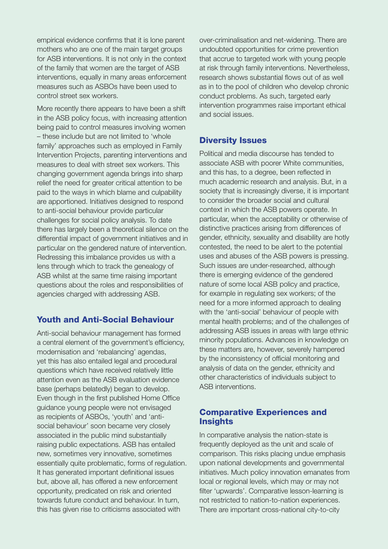empirical evidence confirms that it is lone parent mothers who are one of the main target groups for ASB interventions. It is not only in the context of the family that women are the target of ASB interventions, equally in many areas enforcement measures such as ASBOs have been used to control street sex workers.

More recently there appears to have been a shift in the ASB policy focus, with increasing attention being paid to control measures involving women – these include but are not limited to 'whole family' approaches such as employed in Family Intervention Projects, parenting interventions and measures to deal with street sex workers. This changing government agenda brings into sharp relief the need for greater critical attention to be paid to the ways in which blame and culpability are apportioned. Initiatives designed to respond to anti-social behaviour provide particular challenges for social policy analysis. To date there has largely been a theoretical silence on the differential impact of government initiatives and in particular on the gendered nature of intervention. Redressing this imbalance provides us with a lens through which to track the genealogy of ASB whilst at the same time raising important questions about the roles and responsibilities of agencies charged with addressing ASB.

# Youth and Anti-Social Behaviour

Anti-social behaviour management has formed a central element of the government's efficiency, modernisation and 'rebalancing' agendas, yet this has also entailed legal and procedural questions which have received relatively little attention even as the ASB evaluation evidence base (perhaps belatedly) began to develop. Even though in the first published Home Office guidance young people were not envisaged as recipients of ASBOs, 'youth' and 'antisocial behaviour' soon became very closely associated in the public mind substantially raising public expectations. ASB has entailed new, sometimes very innovative, sometimes essentially quite problematic, forms of regulation. It has generated important definitional issues but, above all, has offered a new enforcement opportunity, predicated on risk and oriented towards future conduct and behaviour. In turn, this has given rise to criticisms associated with

over-criminalisation and net-widening. There are undoubted opportunities for crime prevention that accrue to targeted work with young people at risk through family interventions. Nevertheless, research shows substantial flows out of as well as in to the pool of children who develop chronic conduct problems. As such, targeted early intervention programmes raise important ethical and social issues.

## Diversity Issues

Political and media discourse has tended to associate ASB with poorer White communities, and this has, to a degree, been reflected in much academic research and analysis. But, in a society that is increasingly diverse, it is important to consider the broader social and cultural context in which the ASB powers operate. In particular, when the acceptability or otherwise of distinctive practices arising from differences of gender, ethnicity, sexuality and disability are hotly contested, the need to be alert to the potential uses and abuses of the ASB powers is pressing. Such issues are under-researched, although there is emerging evidence of the gendered nature of some local ASB policy and practice, for example in regulating sex workers; of the need for a more informed approach to dealing with the 'anti-social' behaviour of people with mental health problems; and of the challenges of addressing ASB issues in areas with large ethnic minority populations. Advances in knowledge on these matters are, however, severely hampered by the inconsistency of official monitoring and analysis of data on the gender, ethnicity and other characteristics of individuals subject to ASB interventions.

## Comparative Experiences and **Insights**

In comparative analysis the nation-state is frequently deployed as the unit and scale of comparison. This risks placing undue emphasis upon national developments and governmental initiatives. Much policy innovation emanates from local or regional levels, which may or may not filter 'upwards'. Comparative lesson-learning is not restricted to nation-to-nation experiences. There are important cross-national city-to-city